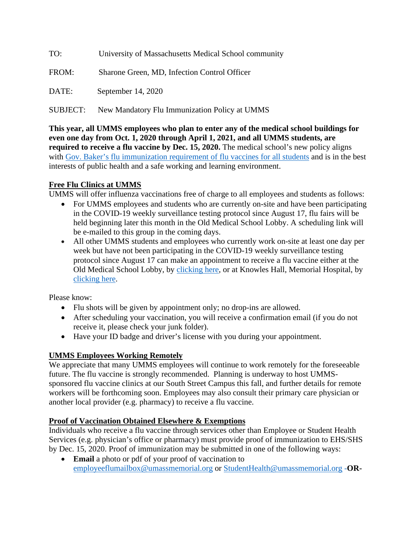| TO:             | University of Massachusetts Medical School community |
|-----------------|------------------------------------------------------|
| FROM:           | Sharone Green, MD, Infection Control Officer         |
| DATE:           | September 14, 2020                                   |
| <b>SUBJECT:</b> | New Mandatory Flu Immunization Policy at UMMS        |

**This year, all UMMS employees who plan to enter any of the medical school buildings for even one day from Oct. 1, 2020 through April 1, 2021, and all UMMS students, are required to receive a flu vaccine by Dec. 15, 2020.** The medical school's new policy aligns with [Gov. Baker's flu immunization requirement](https://na01.safelinks.protection.outlook.com/?url=https:%2F%2Fwww.mass.gov%2Fnews%2Fflu-vaccine-now-required-for-all-massachusetts-school-students-enrolled-in-child-care-pre%23:%7E:text%3DBOSTON%2520%25E2%2580%2594%2520State%2520public%2520health%2520officials%2C12%252C%2520and%2520colleges%2520and%2520universities.&data=02%7C01%7CChristina.Haviland%40umassmed.edu%7Cb8d9109fae834233573a08d858e33533%7Cee9155fe2da34378a6c44405faf57b2e%7C0%7C0%7C637357080373572505&sdata=YLjz8O5BCiJ3jy7CBdum3X5EX8ERKNOev%2BZiZq0VuQE%3D&reserved=0) of flu vaccines for all students and is in the best interests of public health and a safe working and learning environment.

## **Free Flu Clinics at UMMS**

UMMS will offer influenza vaccinations free of charge to all employees and students as follows:

- For UMMS employees and students who are currently on-site and have been participating in the COVID-19 weekly surveillance testing protocol since August 17, flu fairs will be held beginning later this month in the Old Medical School Lobby. A scheduling link will be e-mailed to this group in the coming days.
- All other UMMS students and employees who currently work on-site at least one day per week but have not been participating in the COVID-19 weekly surveillance testing protocol since August 17 can make an appointment to receive a flu vaccine either at the Old Medical School Lobby, by [clicking here,](https://na01.safelinks.protection.outlook.com/?url=https%3A%2F%2Foutlook.office365.com%2Fowa%2Fcalendar%2FUMassFluVaccinationsUniversity%40umassmemorial.onmicrosoft.com%2Fbookings%2F&data=02%7C01%7CChristina.Haviland%40umassmed.edu%7Cb8d9109fae834233573a08d858e33533%7Cee9155fe2da34378a6c44405faf57b2e%7C0%7C0%7C637357080373572505&sdata=W9mp%2BU990D7qWV9zghkAgweLJIPj%2B4fZk%2FeiPZ3QDL0%3D&reserved=0) or at Knowles Hall, Memorial Hospital, by [clicking here.](https://na01.safelinks.protection.outlook.com/?url=https%3A%2F%2Foutlook.office365.com%2Fowa%2Fcalendar%2FUMassFluVaccinationsMemorial%40umassmemorial.onmicrosoft.com%2Fbookings%2F&data=02%7C01%7CChristina.Haviland%40umassmed.edu%7Cb8d9109fae834233573a08d858e33533%7Cee9155fe2da34378a6c44405faf57b2e%7C0%7C0%7C637357080373582461&sdata=zyXdFqfUsKWPBDD%2Fgc5QMVR3ddHhiQYZnkAPOo3LAQk%3D&reserved=0)

Please know:

- Flu shots will be given by appointment only; no drop-ins are allowed.
- After scheduling your vaccination, you will receive a confirmation email (if you do not receive it, please check your junk folder).
- Have your ID badge and driver's license with you during your appointment.

## **UMMS Employees Working Remotely**

We appreciate that many UMMS employees will continue to work remotely for the foreseeable future. The flu vaccine is strongly recommended. Planning is underway to host UMMSsponsored flu vaccine clinics at our South Street Campus this fall, and further details for remote workers will be forthcoming soon. Employees may also consult their primary care physician or another local provider (e.g. pharmacy) to receive a flu vaccine.

## **Proof of Vaccination Obtained Elsewhere & Exemptions**

Individuals who receive a flu vaccine through services other than Employee or Student Health Services (e.g. physician's office or pharmacy) must provide proof of immunization to EHS/SHS by Dec. 15, 2020. Proof of immunization may be submitted in one of the following ways:

• **Email** a photo or pdf of your proof of vaccination to [employeeflumailbox@umassmemorial.org](mailto:employeeflumailbox@umassmemorial.org) or [StudentHealth@umassmemorial.org](mailto:StudentHealth@umassmemorial.org) -**OR-**